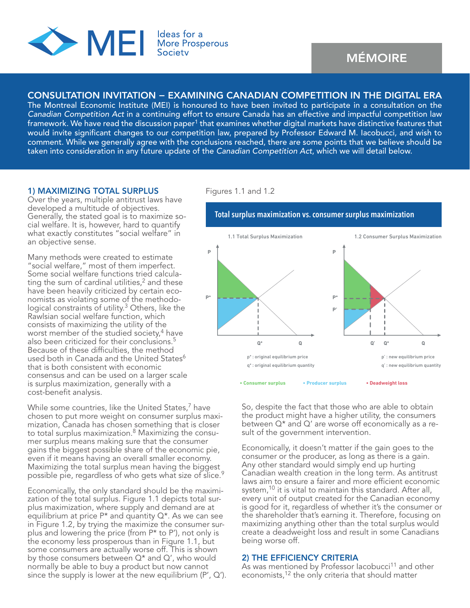

# CONSULTATION INVITATION − EXAMINING CANADIAN COMPETITION IN THE DIGITAL ERA

The Montreal Economic Institute (MEI) is honoured to have been invited to participate in a consultation on the *Canadian Competition Act* in a continuing effort to ensure Canada has an effective and impactful competition law framework. We have read the discussion paper<sup>1</sup> that examines whether digital markets have distinctive features that would invite significant changes to our competition law, prepared by Professor Edward M. Iacobucci, and wish to comment. While we generally agree with the conclusions reached, there are some points that we believe should be taken into consideration in any future update of the *Canadian Competition Act*, which we will detail below.

#### 1) MAXIMIZING TOTAL SURPLUS

Over the years, multiple antitrust laws have developed a multitude of objectives. Generally, the stated goal is to maximize social welfare. It is, however, hard to quantify what exactly constitutes "social welfare" in an objective sense.

Many methods were created to estimate "social welfare," most of them imperfect. Some social welfare functions tried calculating the sum of cardinal utilities, $<sup>2</sup>$  and these</sup> have been heavily criticized by certain economists as violating some of the methodological constraints of utility.<sup>3</sup> Others, like the Rawlsian social welfare function, which consists of maximizing the utility of the worst member of the studied society,<sup>4</sup> have also been criticized for their conclusions.<sup>5</sup> Because of these difficulties, the method used both in Canada and the United States<sup>6</sup> that is both consistent with economic consensus and can be used on a larger scale is surplus maximization, generally with a cost-benefit analysis.

While some countries, like the United States, $<sup>7</sup>$  have</sup> chosen to put more weight on consumer surplus maximization, Canada has chosen something that is closer to total surplus maximization.<sup>8</sup> Maximizing the consumer surplus means making sure that the consumer gains the biggest possible share of the economic pie, even if it means having an overall smaller economy. Maximizing the total surplus mean having the biggest possible pie, regardless of who gets what size of slice.9

Economically, the only standard should be the maximization of the total surplus. Figure 1.1 depicts total surplus maximization, where supply and demand are at equilibrium at price  $P^*$  and quantity  $Q^*$ . As we can see in Figure 1.2, by trying the maximize the consumer surplus and lowering the price (from P\* to P'), not only is the economy less prosperous than in Figure 1.1, but some consumers are actually worse off. This is shown by those consumers between Q\* and Q', who would normally be able to buy a product but now cannot since the supply is lower at the new equilibrium  $(P', Q')$ .

### Figures 1.1 and 1.2



So, despite the fact that those who are able to obtain the product might have a higher utility, the consumers between Q\* and Q' are worse off economically as a result of the government intervention.

Economically, it doesn't matter if the gain goes to the consumer or the producer, as long as there is a gain. Any other standard would simply end up hurting Canadian wealth creation in the long term. As antitrust laws aim to ensure a fairer and more efficient economic system,<sup>10</sup> it is vital to maintain this standard. After all, every unit of output created for the Canadian economy is good for it, regardless of whether it's the consumer or the shareholder that's earning it. Therefore, focusing on maximizing anything other than the total surplus would create a deadweight loss and result in some Canadians being worse off.

### 2) THE EFFICIENCY CRITERIA

As was mentioned by Professor Iacobucci<sup>11</sup> and other economists,<sup>12</sup> the only criteria that should matter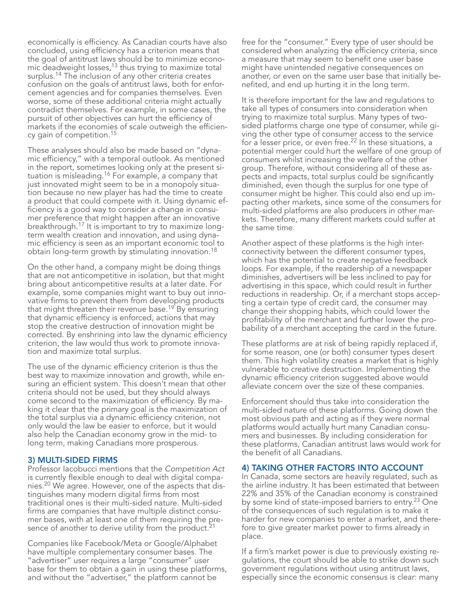economically is efficiency. As Canadian courts have also concluded, using efficiency has a criterion means that the goal of antitrust laws should be to minimize economic deadweight losses,<sup>13</sup> thus trying to maximize total surplus.<sup>14</sup> The inclusion of any other criteria creates confusion on the goals of antitrust laws, both for enforcement agencies and for companies themselves. Even worse, some of these additional criteria might actually contradict themselves. For example, in some cases, the pursuit of other objectives can hurt the efficiency of markets if the economies of scale outweigh the efficiency gain of competition.15

These analyses should also be made based on "dynamic efficiency," with a temporal outlook. As mentioned in the report, sometimes looking only at the present situation is misleading.<sup>16</sup> For example, a company that just innovated might seem to be in a monopoly situation because no new player has had the time to create a product that could compete with it. Using dynamic efficiency is a good way to consider a change in consumer preference that might happen after an innovative breakthrough.17 It is important to try to maximize longterm wealth creation and innovation, and using dynamic efficiency is seen as an important economic tool to obtain long-term growth by stimulating innovation.18

On the other hand, a company might be doing things that are not anticompetitive in isolation, but that might bring about anticompetitive results at a later date. For example, some companies might want to buy out innovative firms to prevent them from developing products that might threaten their revenue base.<sup>19'</sup> By ensuring that dynamic efficiency is enforced, actions that may stop the creative destruction of innovation might be corrected. By enshrining into law the dynamic efficiency criterion, the law would thus work to promote innovation and maximize total surplus.

The use of the dynamic efficiency criterion is thus the best way to maximize innovation and growth, while ensuring an efficient system. This doesn't mean that other criteria should not be used, but they should always come second to the maximization of efficiency. By making it clear that the primary goal is the maximization of the total surplus via a dynamic efficiency criterion, not only would the law be easier to enforce, but it would also help the Canadian economy grow in the mid- to long term, making Canadians more prosperous.

### 3) MULTI-SIDED FIRMS

Professor Iacobucci mentions that the *Competition Act* is currently flexible enough to deal with digital companies.20 We agree. However, one of the aspects that distinguishes many modern digital firms from most traditional ones is their multi-sided nature. Multi-sided firms are companies that have multiple distinct consumer bases, with at least one of them requiring the presence of another to derive utility from the product.<sup>21</sup>

Companies like Facebook/Meta or Google/Alphabet have multiple complementary consumer bases. The "advertiser" user requires a large "consumer" user base for them to obtain a gain in using these platforms, and without the "advertiser," the platform cannot be

free for the "consumer." Every type of user should be considered when analyzing the efficiency criteria, since a measure that may seem to benefit one user base might have unintended negative consequences on another, or even on the same user base that initially benefited, and end up hurting it in the long term.

It is therefore important for the law and regulations to take all types of consumers into consideration when trying to maximize total surplus. Many types of twosided platforms charge one type of consumer, while giving the other type of consumer access to the service for a lesser price, or even free.<sup>22</sup> In these situations, a potential merger could hurt the welfare of one group of consumers whilst increasing the welfare of the other group. Therefore, without considering all of these aspects and impacts, total surplus could be significantly diminished, even though the surplus for one type of consumer might be higher. This could also end up impacting other markets, since some of the consumers for multi-sided platforms are also producers in other markets. Therefore, many different markets could suffer at the same time.

Another aspect of these platforms is the high interconnectivity between the different consumer types, which has the potential to create negative feedback loops. For example, if the readership of a newspaper diminishes, advertisers will be less inclined to pay for advertising in this space, which could result in further reductions in readership. Or, if a merchant stops accepting a certain type of credit card, the consumer may change their shopping habits, which could lower the profitability of the merchant and further lower the probability of a merchant accepting the card in the future.

These platforms are at risk of being rapidly replaced if, for some reason, one (or both) consumer types desert them. This high volatility creates a market that is highly vulnerable to creative destruction. Implementing the dynamic efficiency criterion suggested above would alleviate concern over the size of these companies.

Enforcement should thus take into consideration the multi-sided nature of these platforms. Going down the most obvious path and acting as if they were normal platforms would actually hurt many Canadian consumers and businesses. By including consideration for these platforms, Canadian antitrust laws would work for the benefit of all Canadians.

#### 4) TAKING OTHER FACTORS INTO ACCOUNT

In Canada, some sectors are heavily regulated, such as the airline industry. It has been estimated that between 22% and 35% of the Canadian economy is constrained by some kind of state-imposed barriers to entry.<sup>23</sup> One of the consequences of such regulation is to make it harder for new companies to enter a market, and therefore to give greater market power to firms already in place.

If a firm's market power is due to previously existing regulations, the court should be able to strike down such government regulations without using antitrust laws, especially since the economic consensus is clear: many